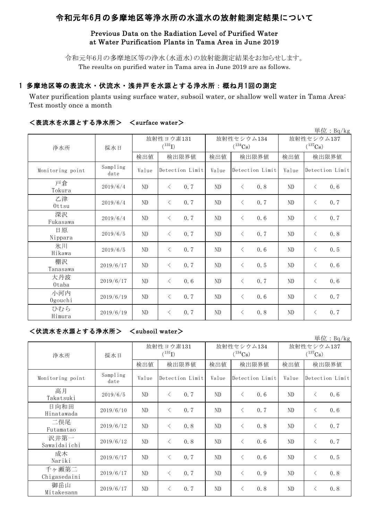# 令和元年6月の多摩地区等浄水所の水道水の放射能測定結果について

## Previous Data on the Radiation Level of Purified Water at Water Purification Plants in Tama Area in June 2019

令和元年6月の多摩地区等の浄水(水道水)の放射能測定結果をお知らせします。 The results on purified water in Tama area in June 2019 are as follows.

# 1 多摩地区等の表流水・伏流水・浅井戸を水源とする浄水所:概ね月1回の測定

Water purification plants using surface water, subsoil water, or shallow well water in Tama Area: Test mostly once a month

単位:Bq/kg

| 早 $\overline{u}$ : Bq/kg |                  |          |                  |          |                  |              |                  |  |  |  |
|--------------------------|------------------|----------|------------------|----------|------------------|--------------|------------------|--|--|--|
| 浄水所                      | 採水日              |          | 放射性ヨウ素131        |          | 放射性セシウム134       | 放射性セシウム137   |                  |  |  |  |
|                          |                  |          | $(^{131}I)$      |          | $(^{134}Cs)$     | $(^{137}Cs)$ |                  |  |  |  |
|                          |                  | 検出値      | 検出限界値            | 検出値      | 検出限界値            | 検出値          | 検出限界値            |  |  |  |
| Monitoring point         | Sampling<br>date | Value    | Detection Limit  | Value    | Detection Limit  | Value        | Detection Limit  |  |  |  |
| 戸倉<br>Tokura             | 2019/6/4         | ND       | 0.7<br>$\langle$ | $\rm ND$ | 0.8<br>$\lt$     | ND           | 0.6<br>$\langle$ |  |  |  |
| 乙津<br>Ottsu              | 2019/6/4         | ND       | 0.7<br>$\langle$ | $\rm ND$ | $\lt$<br>0.7     | $\rm ND$     | 0.7<br>$\langle$ |  |  |  |
| 深沢<br>Fukasawa           | 2019/6/4         | ND       | 0.7<br>$\lt$     | $\rm ND$ | $\lt$<br>0.6     | ND           | 0.7<br>$\langle$ |  |  |  |
| 日原<br>Nippara            | 2019/6/5         | ND       | 0.7<br>$\lt$     | ND       | $\langle$<br>0.7 | ND           | 0.8<br>$\langle$ |  |  |  |
| 氷川<br>Hikawa             | 2019/6/5         | ND       | 0.7<br>$\lt$     | ND       | $\lt$<br>0.6     | ND           | 0.5<br>$\langle$ |  |  |  |
| 棚沢<br>Tanasawa           | 2019/6/17        | $\rm ND$ | 0.7<br>$\lt$     | $\rm ND$ | 0.5<br>$\langle$ | ND           | 0.6<br>$\langle$ |  |  |  |
| 大丹波<br>Otaba             | 2019/6/17        | $\rm ND$ | 0.6<br>$\lt$     | ND       | $\langle$<br>0.7 | ND           | 0.6<br>$\langle$ |  |  |  |
| 小河内<br>Ogouchi           | 2019/6/19        | $\rm ND$ | 0.7<br>$\langle$ | $\rm ND$ | 0.6<br>$\lt$     | ND           | 0.7<br>$\lt$     |  |  |  |
| ひむら<br>Himura            | 2019/6/19        | $\rm ND$ | 0.7<br>$\lt$     | $\rm ND$ | 0.8<br>$\langle$ | ND           | 0.7<br>$\langle$ |  |  |  |

### <表流水を水源とする浄水所> <surface water>

# <伏流水を水源とする浄水所> <subsoil water>

|                       |                  |                          |                 |       |                            |                 |     |                                     |                 | 単位: Bq/kg |
|-----------------------|------------------|--------------------------|-----------------|-------|----------------------------|-----------------|-----|-------------------------------------|-----------------|-----------|
| 浄水所                   | 採水日              | 放射性ヨウ素131<br>$(^{131}I)$ |                 |       | 放射性セシウム134<br>$(^{134}Cs)$ |                 |     | 放射性セシウム137<br>$(^{137}\mathrm{Cs})$ |                 |           |
|                       |                  | 検出値                      |                 | 検出限界値 | 検出値                        | 検出限界値           |     | 検出値                                 | 検出限界値           |           |
| Monitoring point      | Sampling<br>date | Value                    | Detection Limit |       | Value                      | Detection Limit |     | Value                               | Detection Limit |           |
| 高月<br>Takatsuki       | 2019/6/5         | ND                       | $\langle$       | 0.7   | ND                         | $\lt$           | 0.6 | ND                                  | $\lt$           | 0.6       |
| 日向和田<br>Hinatawada    | 2019/6/10        | ND                       | $\langle$       | 0.7   | ND                         | $\langle$       | 0.7 | ND                                  | $\lt$           | 0.6       |
| 二俣尾<br>Futamatao      | 2019/6/12        | ND                       | $\langle$       | 0.8   | ND                         | $\lt$           | 0.8 | ND                                  | $\langle$       | 0.7       |
| 沢井第一<br>Sawaidaiichi  | 2019/6/12        | ND                       | $\langle$       | 0.8   | ND                         | $\lt$           | 0.6 | ND                                  | $\lt$           | 0.7       |
| 成木<br>Nariki          | 2019/6/17        | ND                       | $\langle$       | 0.7   | ND                         | $\lt$           | 0.6 | ND.                                 | $\langle$       | 0.5       |
| 千ヶ瀬第二<br>Chigasedaini | 2019/6/17        | ND                       | $\langle$       | 0.7   | ND                         | $\lt$           | 0.9 | ND                                  | $\langle$       | 0.8       |
| 御岳山<br>Mitakesann     | 2019/6/17        | ND                       | $\langle$       | 0.7   | ND                         | $\langle$       | 0.8 | ND                                  | $\langle$       | 0.8       |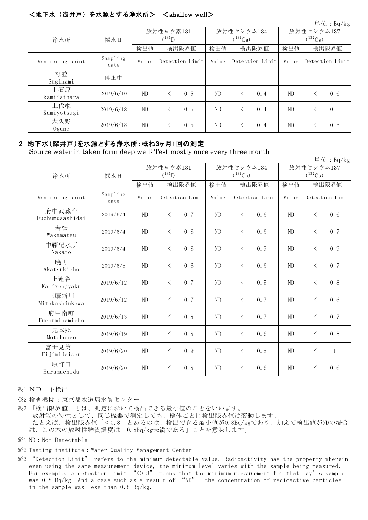#### <地下水(浅井戸)を水源とする浄水所> <shallow well>

|                    |                  |                          |                 |       |                            |                 |       |                            |                 | 単位: $Bq/kg$ |
|--------------------|------------------|--------------------------|-----------------|-------|----------------------------|-----------------|-------|----------------------------|-----------------|-------------|
| 浄水所                | 採水日              | 放射性ヨウ素131<br>$(^{131}I)$ |                 |       | 放射性セシウム134<br>$(^{134}Cs)$ |                 |       | 放射性セシウム137<br>$(^{137}Cs)$ |                 |             |
|                    |                  | 検出値                      |                 | 検出限界値 | 検出値                        |                 | 検出限界値 | 検出値                        | 検出限界値           |             |
| Monitoring point   | Sampling<br>date | Value                    | Detection Limit |       | Value                      | Detection Limit |       | Value                      | Detection Limit |             |
| 杉並<br>Suginami     | 停止中              |                          |                 |       |                            |                 |       |                            |                 |             |
| 上石原<br>kamiisihara | 2019/6/10        | ND.                      |                 | 0.5   | ND.                        |                 | 0.4   | ND                         |                 | 0.6         |
| 上代継<br>Kamiyotsugi | 2019/6/18        | ND.                      |                 | 0.5   | ND.                        |                 | 0.4   | ND                         |                 | 0.5         |
| 大久野<br>Oguno       | 2019/6/18        | ND.                      |                 | 0.5   | ND.                        |                 | 0.4   | ND                         |                 | 0.5         |

#### 2 地下水(深井戸)を水源とする浄水所:概ね3ヶ月1回の測定

Source water in taken form deep well: Test mostly once every three month

単位:Bq/kg 検出値 | 検出限界値 | 検出値 | 検出値 | 検出値 Monitoring point Sampling<br>date mpiing | Value |Detection Limit| Value |Detection Limit| Value |Detection Limit<br>date 府中武蔵台  $F$ uchumusashidai 2019/6/4 ND < 0.7 ND < 0.6 ND < 0.6 若松 Wakamatsu 2019/6/4 ND <sup>&</sup>lt; 0.8 ND <sup>&</sup>lt; 0.6 ND <sup>&</sup>lt; 0.7 中藤配水所 nakato | 2019/6/4 | ND | < 0.8 | ND | < 0.9 | ND | < 0.9<br>Nakato 暁町  $\frac{1}{2019}$  Akatsukicho  $2019/6/5$  ND  $\lt$  0.6 ND  $\lt$  0.6 ND  $\lt$  0.7 上連雀 Kamirenjyaku | 2019/6/12 | ND | < 0.7 | ND | < 0.5 | ND | < 0.8 三鷹新川 – ● 1/11<br>Mitakashinkawa 2019/6/12 ND < 0.7 ND < 0.7 ND < 0.6 府中南町 Fuchuminamicho  $2019/6/13$  ND  $\langle$  0.8 ND  $\langle$  0.7 ND  $\langle$  0.7 元本郷  $M_{\rm O}$   $\sim$   $\mu$   $\sim$   $\mu$   $\sim$   $\mu$   $\sim$   $\mu$   $\sim$   $\mu$   $\sim$   $\mu$   $\sim$   $\mu$   $\sim$   $\mu$   $\sim$   $\mu$   $\sim$   $\mu$   $\sim$   $\mu$   $\sim$   $\mu$   $\sim$   $\mu$   $\sim$   $\mu$   $\sim$   $\mu$   $\sim$   $\mu$   $\sim$   $\mu$   $\sim$   $\mu$   $\sim$   $\mu$   $\sim$   $\mu$   $\sim$   $\mu$   $\$ 富士見第三 Fijimidaisan | 2019/6/20 | ND | < 0.9 | ND | < 0.8 | ND | < 1 原町田 Haramachida 2019/6/20 ND <sup>&</sup>lt; 0.8 ND <sup>&</sup>lt; 0.6 ND <sup>&</sup>lt; 0.6 検出限界値 |検出値 |検出限界値 放射性ヨウ素131  $(^{131}I)$ 放射性セシウム134  $(^{134}Cs)$ 放射性セシウム137 净水所 採水日 ( $^{131}$ I) ( $^{134}$ Cs) ( $^{137}$ Cs)

※1 ND:不検出

- ※2 検査機関:東京都水道局水質センター
- ※3 「検出限界値」とは、測定において検出できる最小値のことをいいます。 放射能の特性として、同じ機器で測定しても、検体ごとに検出限界値は変動します。 たとえば、検出限界値「<0.8」とあるのは、検出できる最小値が0.8Bq/kgであり、加えて検出値がNDの場合 は、この水の放射性物質濃度は「0.8Bq/kg未満である」ことを意味します。
- ※1 ND:Not Detectable
- ※2 Testing institute:Water Quality Management Center
- ※3 "Detection Limit" refers to the minimum detectable value. Radioactivity has the property wherein even using the same measurement device, the minimum level varies with the sample being measured. For example, a detection limit "<0.8" means that the minimum measurement for that day's sample was 0.8 Bq/kg. And a case such as a result of "ND", the concentration of radioactive particles in the sample was less than 0.8 Bq/kg.